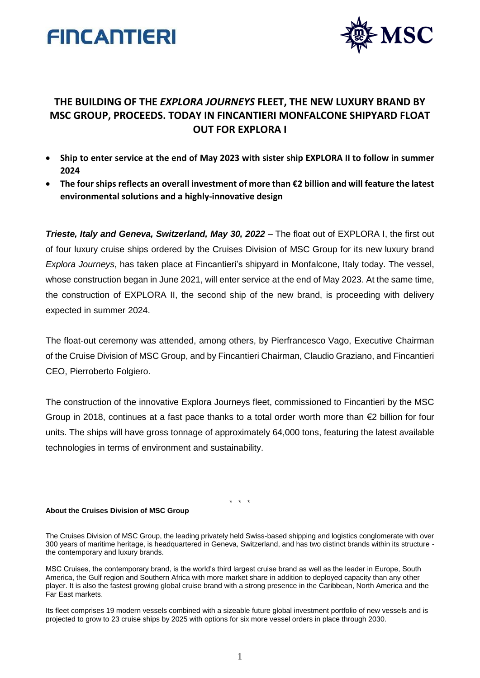



## **THE BUILDING OF THE** *EXPLORA JOURNEYS* **FLEET, THE NEW LUXURY BRAND BY MSC GROUP, PROCEEDS. TODAY IN FINCANTIERI MONFALCONE SHIPYARD FLOAT OUT FOR EXPLORA I**

- **Ship to enter service at the end of May 2023 with sister ship EXPLORA II to follow in summer 2024**
- **The four ships reflects an overall investment of more than €2 billion and will feature the latest environmental solutions and a highly-innovative design**

*Trieste, Italy and Geneva, Switzerland, May 30, 2022* – The float out of EXPLORA I, the first out of four luxury cruise ships ordered by the Cruises Division of MSC Group for its new luxury brand *Explora Journeys*, has taken place at Fincantieri's shipyard in Monfalcone, Italy today. The vessel, whose construction began in June 2021, will enter service at the end of May 2023. At the same time, the construction of EXPLORA II, the second ship of the new brand, is proceeding with delivery expected in summer 2024.

The float-out ceremony was attended, among others, by Pierfrancesco Vago, Executive Chairman of the Cruise Division of MSC Group, and by Fincantieri Chairman, Claudio Graziano, and Fincantieri CEO, Pierroberto Folgiero.

The construction of the innovative Explora Journeys fleet, commissioned to Fincantieri by the MSC Group in 2018, continues at a fast pace thanks to a total order worth more than  $\epsilon$ 2 billion for four units. The ships will have gross tonnage of approximately 64,000 tons, featuring the latest available technologies in terms of environment and sustainability.

\* \* \*

## **About the Cruises Division of MSC Group**

The Cruises Division of MSC Group, the leading privately held Swiss-based shipping and logistics conglomerate with over 300 years of maritime heritage, is headquartered in Geneva, Switzerland, and has two distinct brands within its structure the contemporary and luxury brands.

MSC Cruises, the contemporary brand, is the world's third largest cruise brand as well as the leader in Europe, South America, the Gulf region and Southern Africa with more market share in addition to deployed capacity than any other player. It is also the fastest growing global cruise brand with a strong presence in the Caribbean, North America and the Far East markets.

Its fleet comprises 19 modern vessels combined with a sizeable future global investment portfolio of new vessels and is projected to grow to 23 cruise ships by 2025 with options for six more vessel orders in place through 2030.